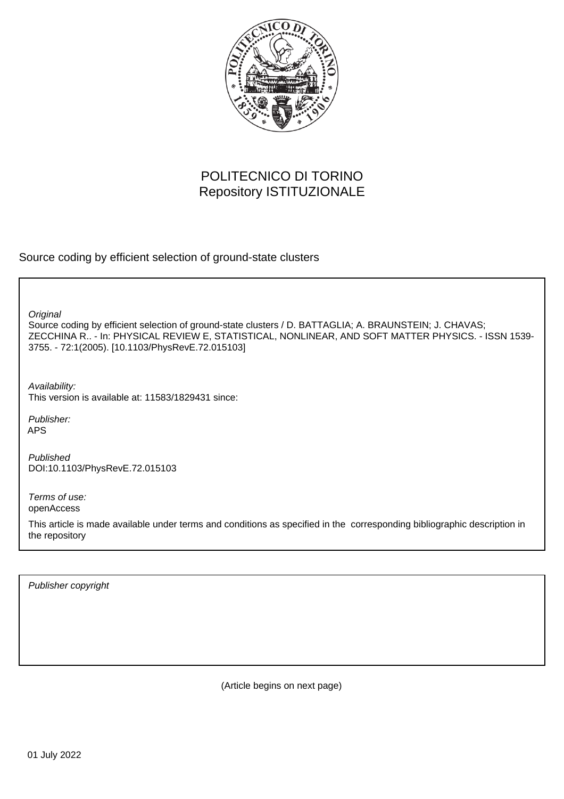

## POLITECNICO DI TORINO Repository ISTITUZIONALE

Source coding by efficient selection of ground-state clusters

**Original** 

Source coding by efficient selection of ground-state clusters / D. BATTAGLIA; A. BRAUNSTEIN; J. CHAVAS; ZECCHINA R.. - In: PHYSICAL REVIEW E, STATISTICAL, NONLINEAR, AND SOFT MATTER PHYSICS. - ISSN 1539- 3755. - 72:1(2005). [10.1103/PhysRevE.72.015103]

Availability: This version is available at: 11583/1829431 since:

Publisher: APS

Published DOI:10.1103/PhysRevE.72.015103

Terms of use: openAccess

This article is made available under terms and conditions as specified in the corresponding bibliographic description in the repository

Publisher copyright

(Article begins on next page)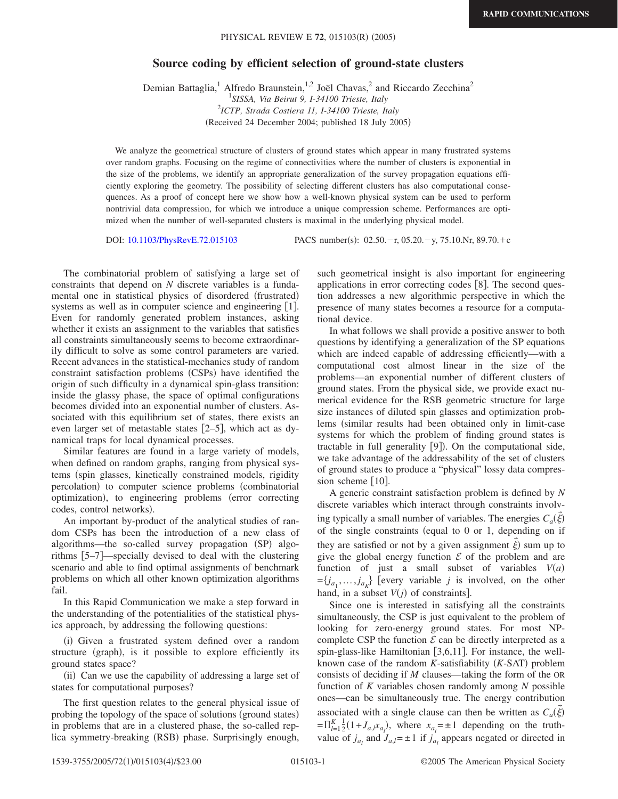## **Source coding by efficient selection of ground-state clusters**

Demian Battaglia,<sup>1</sup> Alfredo Braunstein,<sup>1,2</sup> Joël Chavas,<sup>2</sup> and Riccardo Zecchina<sup>2</sup><br><sup>1</sup>SISSA, *Via Beirut 9, I-34100 Trieste, Italy* 2 *ICTP, Strada Costiera 11, I-34100 Trieste, Italy* (Received 24 December 2004; published 18 July 2005)

We analyze the geometrical structure of clusters of ground states which appear in many frustrated systems over random graphs. Focusing on the regime of connectivities where the number of clusters is exponential in the size of the problems, we identify an appropriate generalization of the survey propagation equations efficiently exploring the geometry. The possibility of selecting different clusters has also computational consequences. As a proof of concept here we show how a well-known physical system can be used to perform nontrivial data compression, for which we introduce a unique compression scheme. Performances are optimized when the number of well-separated clusters is maximal in the underlying physical model.

DOI: [10.1103/PhysRevE.72.015103](http://dx.doi.org/10.1103/PhysRevE.72.015103)

:  $02.50 - r$ ,  $05.20 - y$ ,  $75.10$ .Nr,  $89.70 + c$ 

The combinatorial problem of satisfying a large set of constraints that depend on *N* discrete variables is a fundamental one in statistical physics of disordered (frustrated) systems as well as in computer science and engineering [1]. Even for randomly generated problem instances, asking whether it exists an assignment to the variables that satisfies all constraints simultaneously seems to become extraordinarily difficult to solve as some control parameters are varied. Recent advances in the statistical-mechanics study of random constraint satisfaction problems (CSPs) have identified the origin of such difficulty in a dynamical spin-glass transition: inside the glassy phase, the space of optimal configurations becomes divided into an exponential number of clusters. Associated with this equilibrium set of states, there exists an even larger set of metastable states  $[2-5]$ , which act as dynamical traps for local dynamical processes.

Similar features are found in a large variety of models, when defined on random graphs, ranging from physical systems (spin glasses, kinetically constrained models, rigidity percolation) to computer science problems (combinatorial optimization), to engineering problems (error correcting codes, control networks).

An important by-product of the analytical studies of random CSPs has been the introduction of a new class of algorithms—the so-called survey propagation (SP) algorithms 5–7—specially devised to deal with the clustering scenario and able to find optimal assignments of benchmark problems on which all other known optimization algorithms fail.

In this Rapid Communication we make a step forward in the understanding of the potentialities of the statistical physics approach, by addressing the following questions:

(i) Given a frustrated system defined over a random structure (graph), is it possible to explore efficiently its ground states space?

(ii) Can we use the capability of addressing a large set of states for computational purposes?

The first question relates to the general physical issue of probing the topology of the space of solutions (ground states) in problems that are in a clustered phase, the so-called replica symmetry-breaking (RSB) phase. Surprisingly enough,

such geometrical insight is also important for engineering applications in error correcting codes  $[8]$ . The second question addresses a new algorithmic perspective in which the presence of many states becomes a resource for a computational device.

In what follows we shall provide a positive answer to both questions by identifying a generalization of the SP equations which are indeed capable of addressing efficiently—with a computational cost almost linear in the size of the problems—an exponential number of different clusters of ground states. From the physical side, we provide exact numerical evidence for the RSB geometric structure for large size instances of diluted spin glasses and optimization problems (similar results had been obtained only in limit-case systems for which the problem of finding ground states is tractable in full generality [9]). On the computational side, we take advantage of the addressability of the set of clusters of ground states to produce a "physical" lossy data compression scheme  $[10]$ .

A generic constraint satisfaction problem is defined by *N* discrete variables which interact through constraints involving typically a small number of variables. The energies  $C_a(\xi)$ → of the single constraints (equal to  $0$  or 1, depending on if they are satisfied or not by a given assignment  $\xi$ ) sum up to → give the global energy function  $\mathcal E$  of the problem and are function of just a small subset of variables  $V(a)$  $=[j_{a_1},...,j_{a_k}]$  [every variable *j* is involved, on the other hand, in a subset  $V(j)$  of constraints].

Since one is interested in satisfying all the constraints simultaneously, the CSP is just equivalent to the problem of looking for zero-energy ground states. For most NPcomplete CSP the function  $\mathcal E$  can be directly interpreted as a spin-glass-like Hamiltonian  $[3,6,11]$ . For instance, the wellknown case of the random  $K$ -satisfiability  $(K$ -SAT) problem consists of deciding if *M* clauses—taking the form of the OR function of *K* variables chosen randomly among *N* possible ones—can be simultaneously true. The energy contribution associated with a single clause can then be written as  $C_a(\xi)$ →  $=\prod_{l=1}^{K} \frac{1}{2} (1 + J_{a,l} x_{a_l})$ , where  $x_{a_l} = \pm 1$  depending on the truthvalue of  $j_{a}$ , and  $J_{a,l} = \pm 1$  if  $j_{a}$ , appears negated or directed in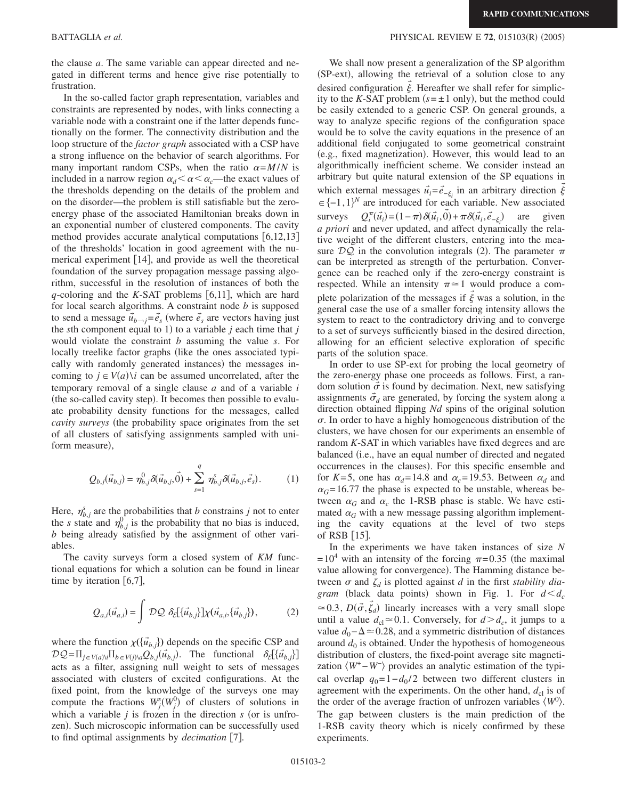the clause *a*. The same variable can appear directed and negated in different terms and hence give rise potentially to frustration.

In the so-called factor graph representation, variables and constraints are represented by nodes, with links connecting a variable node with a constraint one if the latter depends functionally on the former. The connectivity distribution and the loop structure of the *factor graph* associated with a CSP have a strong influence on the behavior of search algorithms. For many important random CSPs, when the ratio  $\alpha = M/N$  is included in a narrow region  $\alpha_d < \alpha < \alpha_c$ —the exact values of the thresholds depending on the details of the problem and on the disorder—the problem is still satisfiable but the zeroenergy phase of the associated Hamiltonian breaks down in an exponential number of clustered components. The cavity method provides accurate analytical computations  $[6,12,13]$ of the thresholds' location in good agreement with the numerical experiment  $[14]$ , and provide as well the theoretical foundation of the survey propagation message passing algorithm, successful in the resolution of instances of both the  $q$ -coloring and the *K*-SAT problems [6,11], which are hard for local search algorithms. A constraint node *b* is supposed to send a message  $\vec{u}_{b \rightarrow j} = \vec{e}_s$  (where  $\vec{e}_s$  are vectors having just the *s*th component equal to 1) to a variable  $j$  each time that  $j$ would violate the constraint *b* assuming the value *s*. For locally treelike factor graphs (like the ones associated typically with randomly generated instances) the messages incoming to  $j \in V(a) \setminus i$  can be assumed uncorrelated, after the temporary removal of a single clause *a* and of a variable *i* (the so-called cavity step). It becomes then possible to evaluate probability density functions for the messages, called *cavity surveys* (the probability space originates from the set of all clusters of satisfying assignments sampled with uniform measure),

$$
Q_{b,j}(\vec{u}_{b,j}) = \eta_{b,j}^0 \delta(\vec{u}_{b,j}, \vec{0}) + \sum_{s=1}^q \eta_{b,j}^s \delta(\vec{u}_{b,j}, \vec{e}_s).
$$
 (1)

Here,  $\eta_{b,j}^s$  are the probabilities that *b* constrains *j* not to enter the *s* state and  $\eta_{b,j}^0$  is the probability that no bias is induced, *b* being already satisfied by the assignment of other variables.

The cavity surveys form a closed system of *KM* functional equations for which a solution can be found in linear time by iteration  $[6,7]$ ,

$$
Q_{a,i}(\vec{u}_{a,i}) = \int \mathcal{DQ} \ \delta_{\mathcal{E}}[\{\vec{u}_{b,j}\}]\chi(\vec{u}_{a,i}, \{\vec{u}_{b,j}\}), \tag{2}
$$

where the function  $\chi(\lbrace \vec{u}_{b,j} \rbrace)$  depends on the specific CSP and  $\mathcal{D}\mathcal{Q} = \prod_{j \in V(a)} \prod_{b \in V(j)} \mathcal{Q}_{b,j}(\vec{u}_{b,j})$ . The functional  $\delta_{\mathcal{E}}[\{\vec{u}_{b,j}\}]$ acts as a filter, assigning null weight to sets of messages associated with clusters of excited configurations. At the fixed point, from the knowledge of the surveys one may compute the fractions  $W_j^s(W_j^0)$  of clusters of solutions in which a variable  $j$  is frozen in the direction  $s$  (or is unfrozen). Such microscopic information can be successfully used to find optimal assignments by *decimation* [7].

## BATTAGLIA *et al.* **PHYSICAL REVIEW E 72**, 015103(R) (2005)

We shall now present a generalization of the SP algorithm (SP-ext), allowing the retrieval of a solution close to any desired configuration  $\xi$ . Hereafter we shall refer for simplic-→ ity to the *K*-SAT problem  $(s = \pm 1$  only), but the method could be easily extended to a generic CSP. On general grounds, a way to analyze specific regions of the configuration space would be to solve the cavity equations in the presence of an additional field conjugated to some geometrical constraint (e.g., fixed magnetization). However, this would lead to an algorithmically inefficient scheme. We consider instead an arbitrary but quite natural extension of the SP equations in which external messages  $\vec{u}_i = \vec{e}_{-\xi_i}$  in an arbitrary direction  $\xi$  $\in \{-1,1\}^N$  are introduced for each variable. New associated surveys  $Q_i^{\pi}(\vec{u}_i) = (1 - \pi) \delta(\vec{u}_i, \vec{0}) + \pi \delta(\vec{u}_i, \vec{e}_{-\xi_i})$  are given *a priori* and never updated, and affect dynamically the relative weight of the different clusters, entering into the measure  $\mathcal{DQ}$  in the convolution integrals (2). The parameter  $\pi$ can be interpreted as strength of the perturbation. Convergence can be reached only if the zero-energy constraint is respected. While an intensity  $\pi \approx 1$  would produce a complete polarization of the messages if  $\vec{\xi}$  was a solution, in the general case the use of a smaller forcing intensity allows the system to react to the contradictory driving and to converge to a set of surveys sufficiently biased in the desired direction, allowing for an efficient selective exploration of specific parts of the solution space.

In order to use SP-ext for probing the local geometry of the zero-energy phase one proceeds as follows. First, a random solution  $\vec{\sigma}$  is found by decimation. Next, new satisfying assignments  $\vec{\sigma}_d$  are generated, by forcing the system along a direction obtained flipping *Nd* spins of the original solution  $\sigma$ . In order to have a highly homogeneous distribution of the clusters, we have chosen for our experiments an ensemble of random *K*-SAT in which variables have fixed degrees and are balanced (i.e., have an equal number of directed and negated occurrences in the clauses). For this specific ensemble and for *K*=5, one has  $\alpha_d$ =14.8 and  $\alpha_c$ =19.53. Between  $\alpha_d$  and  $\alpha$ <sup> $G$ </sup> = 16.77 the phase is expected to be unstable, whereas between  $\alpha_G$  and  $\alpha_c$  the 1-RSB phase is stable. We have estimated  $\alpha_G$  with a new message passing algorithm implementing the cavity equations at the level of two steps of RSB  $[15]$ .

In the experiments we have taken instances of size *N*  $=10^4$  with an intensity of the forcing  $\pi$ =0.35 (the maximal value allowing for convergence). The Hamming distance between  $\sigma$  and  $\zeta_d$  is plotted against  $d$  in the first *stability diagram* (black data points) shown in Fig. 1. For  $d < d_c$  $\approx 0.3$ ,  $D(\vec{\sigma}, \vec{\zeta}_d)$  linearly increases with a very small slope until a value  $d_{\text{cl}} \approx 0.1$ . Conversely, for  $d > d_c$ , it jumps to a value  $d_0$ − $\Delta$  ≈ 0.28, and a symmetric distribution of distances around  $d_0$  is obtained. Under the hypothesis of homogeneous distribution of clusters, the fixed-point average site magnetization  $\langle W^+ - W^- \rangle$  provides an analytic estimation of the typical overlap  $q_0=1-d_0/2$  between two different clusters in agreement with the experiments. On the other hand,  $d_{cl}$  is of the order of the average fraction of unfrozen variables  $\langle W^0 \rangle$ . The gap between clusters is the main prediction of the 1-RSB cavity theory which is nicely confirmed by these experiments.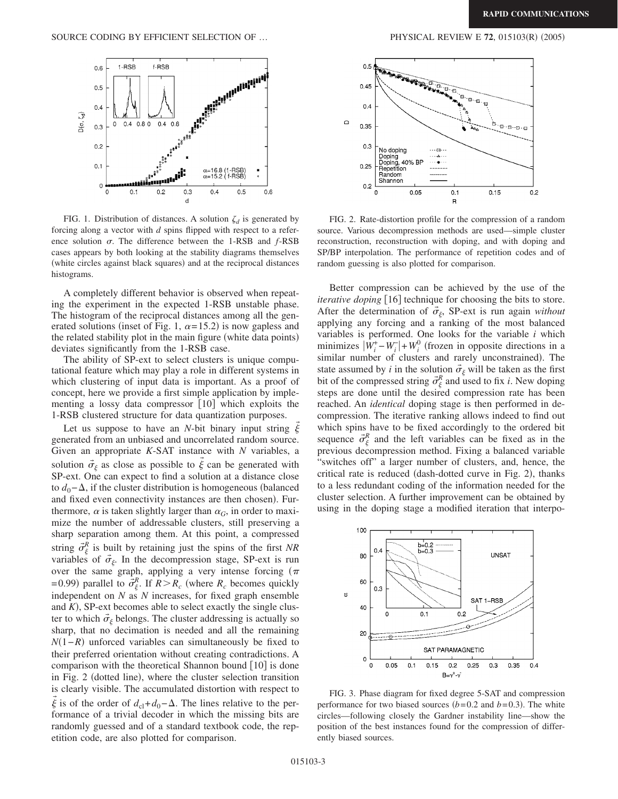

FIG. 1. Distribution of distances. A solution  $\zeta_d$  is generated by forcing along a vector with *d* spins flipped with respect to a reference solution  $\sigma$ . The difference between the 1-RSB and  $f$ -RSB cases appears by both looking at the stability diagrams themselves (white circles against black squares) and at the reciprocal distances histograms.

A completely different behavior is observed when repeating the experiment in the expected 1-RSB unstable phase. The histogram of the reciprocal distances among all the generated solutions (inset of Fig. 1,  $\alpha = 15.2$ ) is now gapless and the related stability plot in the main figure (white data points) deviates significantly from the 1-RSB case.

The ability of SP-ext to select clusters is unique computational feature which may play a role in different systems in which clustering of input data is important. As a proof of concept, here we provide a first simple application by implementing a lossy data compressor  $[10]$  which exploits the 1-RSB clustered structure for data quantization purposes.

Let us suppose to have an *N*-bit binary input string  $\vec{\xi}$ generated from an unbiased and uncorrelated random source. Given an appropriate *K*-SAT instance with *N* variables, a solution  $\vec{\sigma}_{\xi}$  as close as possible to  $\xi$  can be generated with → SP-ext. One can expect to find a solution at a distance close to  $d_0$ − $\Delta$ , if the cluster distribution is homogeneous (balanced and fixed even connectivity instances are then chosen). Furthermore,  $\alpha$  is taken slightly larger than  $\alpha_G$ , in order to maximize the number of addressable clusters, still preserving a sharp separation among them. At this point, a compressed string  $\vec{\sigma}_{\xi}^{R}$  is built by retaining just the spins of the first *NR* variables of  $\vec{\sigma}_{\xi}$ . In the decompression stage, SP-ext is run over the same graph, applying a very intense forcing  $(\pi)$ =0.99) parallel to  $\vec{\sigma}_{\xi}^{R}$ . If  $R > R_c$  (where  $R_c$  becomes quickly independent on *N* as *N* increases, for fixed graph ensemble and  $K$ ), SP-ext becomes able to select exactly the single cluster to which  $\vec{\sigma}_{\xi}$  belongs. The cluster addressing is actually so sharp, that no decimation is needed and all the remaining  $N(1-R)$  unforced variables can simultaneously be fixed to their preferred orientation without creating contradictions. A comparison with the theoretical Shannon bound  $[10]$  is done in Fig. 2 (dotted line), where the cluster selection transition is clearly visible. The accumulated distortion with respect to  $ξ$  is of the order of  $d_{c1} + d_0 - Δ$ . The lines relative to the per-→ formance of a trivial decoder in which the missing bits are randomly guessed and of a standard textbook code, the repetition code, are also plotted for comparison.

 $(2005)$ 



FIG. 2. Rate-distortion profile for the compression of a random source. Various decompression methods are used—simple cluster reconstruction, reconstruction with doping, and with doping and SP/BP interpolation. The performance of repetition codes and of random guessing is also plotted for comparison.

Better compression can be achieved by the use of the *iterative doping* [16] technique for choosing the bits to store. After the determination of  $\vec{\sigma}_{\xi}$ , SP-ext is run again *without* applying any forcing and a ranking of the most balanced variables is performed. One looks for the variable *i* which minimizes  $|\overline{W}_i^+ - W_i^-| + W_i^0$  (frozen in opposite directions in a similar number of clusters and rarely unconstrained). The state assumed by *i* in the solution  $\vec{\sigma}_{\xi}$  will be taken as the first bit of the compressed string  $\vec{\sigma}_{\xi}^{R}$  and used to fix *i*. New doping steps are done until the desired compression rate has been reached. An *identical* doping stage is then performed in decompression. The iterative ranking allows indeed to find out which spins have to be fixed accordingly to the ordered bit sequence  $\vec{\sigma}_{\xi}^{R}$  and the left variables can be fixed as in the previous decompression method. Fixing a balanced variable "switches off" a larger number of clusters, and, hence, the critical rate is reduced (dash-dotted curve in Fig. 2), thanks to a less redundant coding of the information needed for the cluster selection. A further improvement can be obtained by using in the doping stage a modified iteration that interpo-



FIG. 3. Phase diagram for fixed degree 5-SAT and compression performance for two biased sources  $(b=0.2 \text{ and } b=0.3)$ . The white circles—following closely the Gardner instability line—show the position of the best instances found for the compression of differently biased sources.